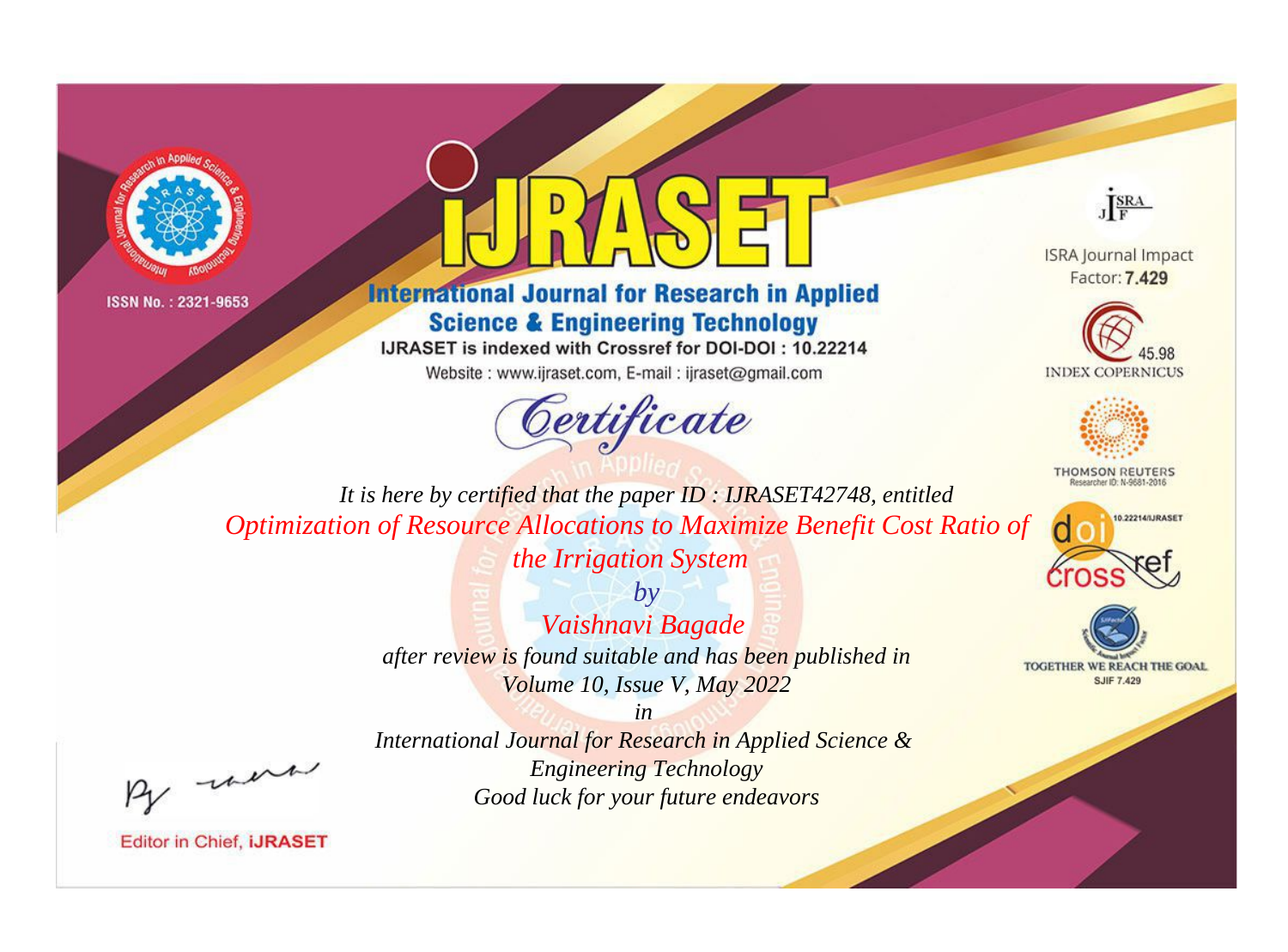



# **International Journal for Research in Applied Science & Engineering Technology**

IJRASET is indexed with Crossref for DOI-DOI: 10.22214

Website: www.ijraset.com, E-mail: ijraset@gmail.com





**ISRA Journal Impact** Factor: 7,429





**THOMSON REUTERS** 



TOGETHER WE REACH THE GOAL **SJIF 7.429** 

*It is here by certified that the paper ID : IJRASET42748, entitled Optimization of Resource Allocations to Maximize Benefit Cost Ratio of* 

*the Irrigation System*

*by Vaishnavi Bagade after review is found suitable and has been published in Volume 10, Issue V, May 2022*

*in* 

, un

*International Journal for Research in Applied Science & Engineering Technology Good luck for your future endeavors*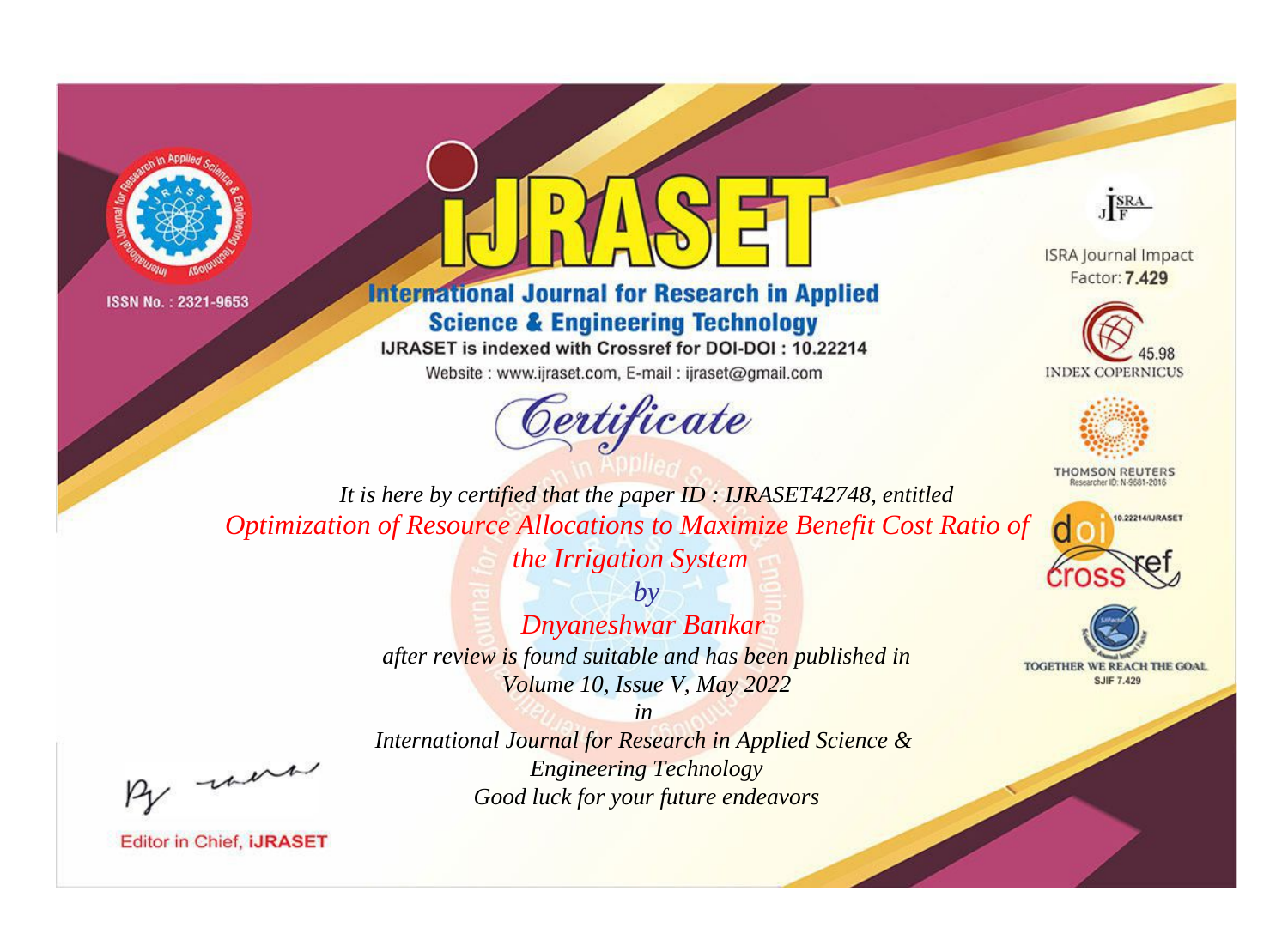



# **International Journal for Research in Applied Science & Engineering Technology**

IJRASET is indexed with Crossref for DOI-DOI: 10.22214

Website: www.ijraset.com, E-mail: ijraset@gmail.com



JERA

**ISRA Journal Impact** Factor: 7.429





**THOMSON REUTERS** 



TOGETHER WE REACH THE GOAL **SJIF 7.429** 

*It is here by certified that the paper ID : IJRASET42748, entitled Optimization of Resource Allocations to Maximize Benefit Cost Ratio of* 

*the Irrigation System*

*by Dnyaneshwar Bankar after review is found suitable and has been published in Volume 10, Issue V, May 2022*

were

*International Journal for Research in Applied Science & Engineering Technology Good luck for your future endeavors*

*in*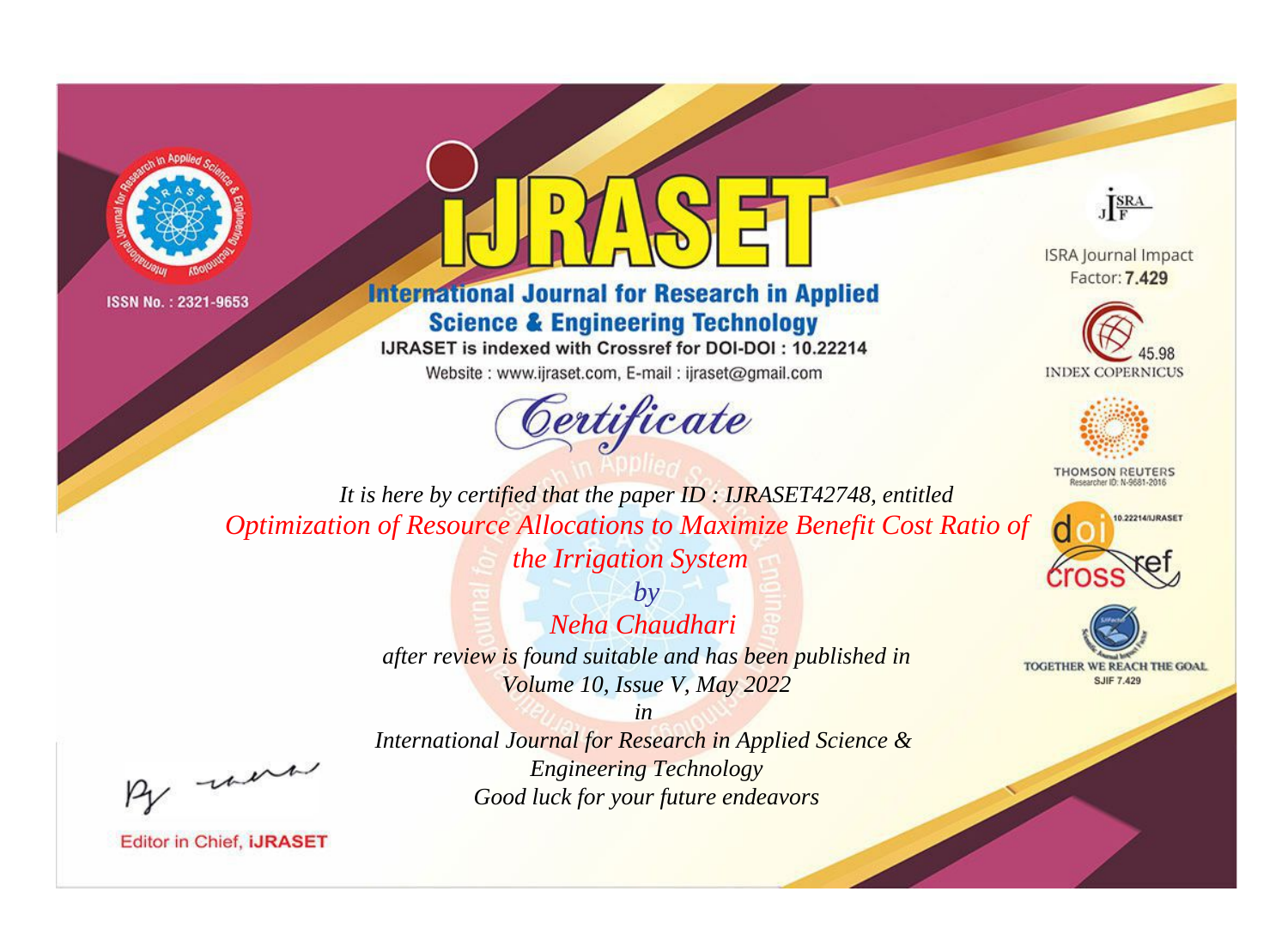



# **International Journal for Research in Applied Science & Engineering Technology**

IJRASET is indexed with Crossref for DOI-DOI: 10.22214

Website: www.ijraset.com, E-mail: ijraset@gmail.com





**ISRA Journal Impact** Factor: 7,429





**THOMSON REUTERS** 



TOGETHER WE REACH THE GOAL **SJIF 7.429** 

*It is here by certified that the paper ID : IJRASET42748, entitled Optimization of Resource Allocations to Maximize Benefit Cost Ratio of* 

*the Irrigation System*

*by Neha Chaudhari after review is found suitable and has been published in Volume 10, Issue V, May 2022*

*in* 

*International Journal for Research in Applied Science & Engineering Technology Good luck for your future endeavors*

, un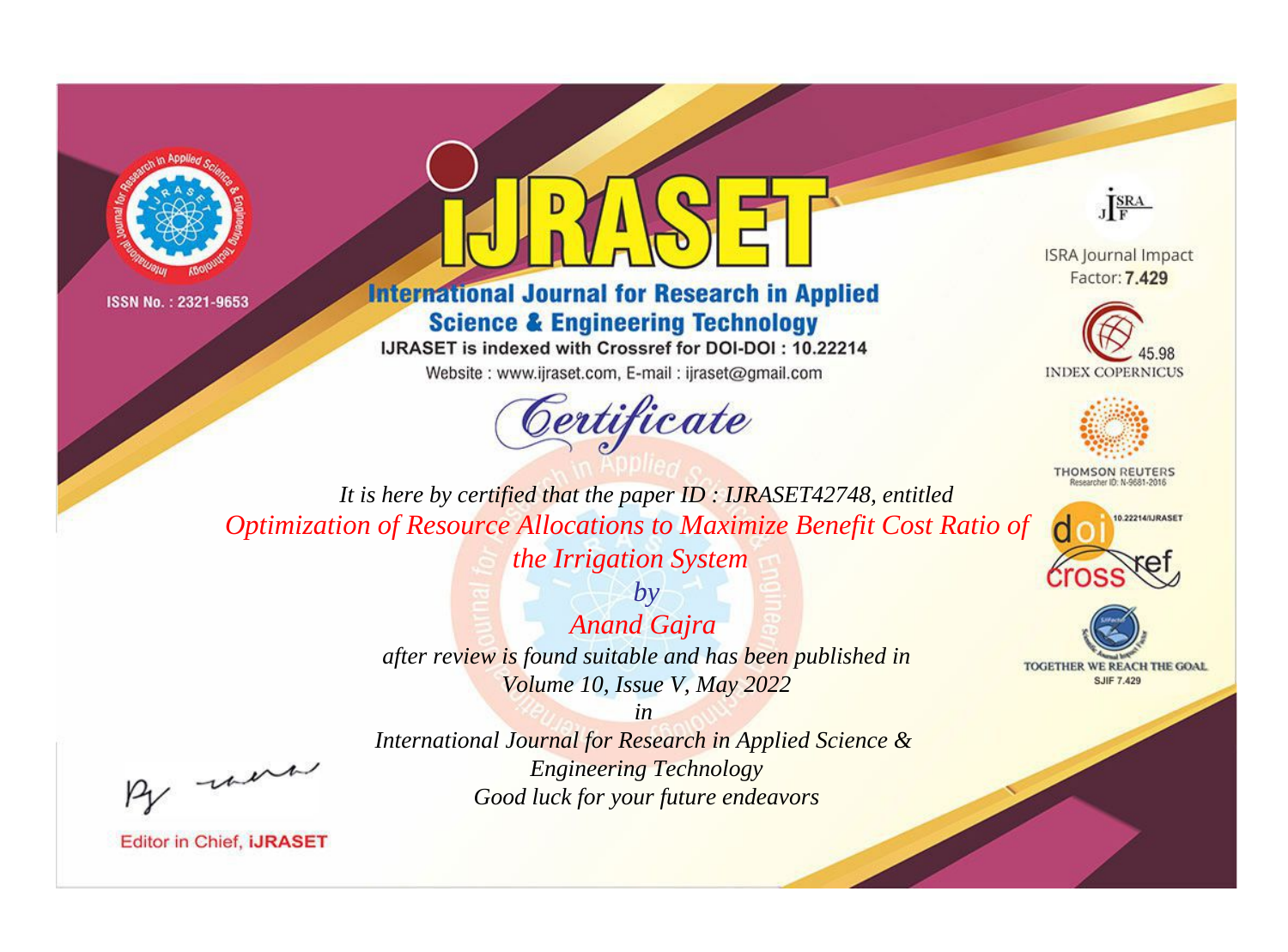



# **International Journal for Research in Applied Science & Engineering Technology**

IJRASET is indexed with Crossref for DOI-DOI: 10.22214

Website: www.ijraset.com, E-mail: ijraset@gmail.com



JERA

**ISRA Journal Impact** Factor: 7,429





**THOMSON REUTERS** 



TOGETHER WE REACH THE GOAL **SJIF 7.429** 

*It is here by certified that the paper ID : IJRASET42748, entitled Optimization of Resource Allocations to Maximize Benefit Cost Ratio of* 

*the Irrigation System*

*by Anand Gajra after review is found suitable and has been published in Volume 10, Issue V, May 2022*

*in* 

were

*International Journal for Research in Applied Science & Engineering Technology Good luck for your future endeavors*